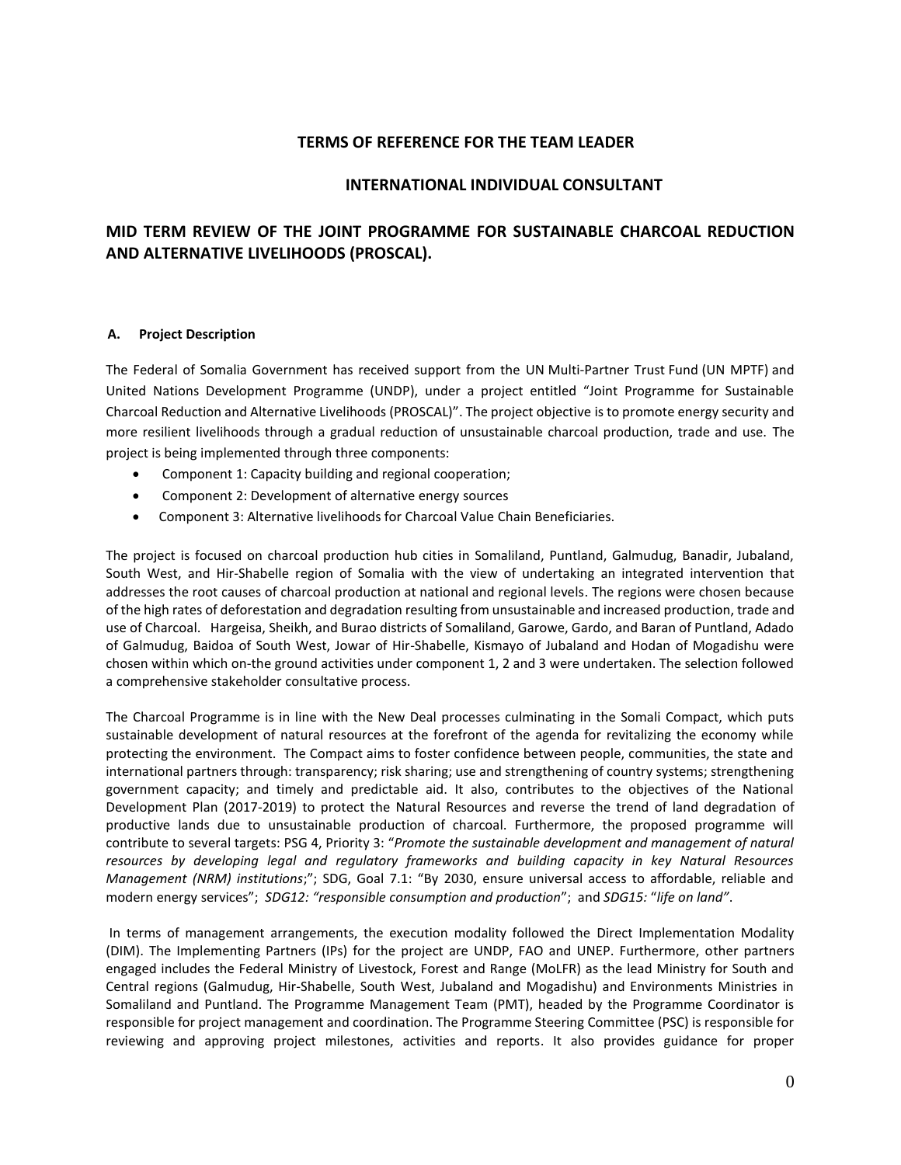## **TERMS OF REFERENCE FOR THE TEAM LEADER**

## **INTERNATIONAL INDIVIDUAL CONSULTANT**

# **MID TERM REVIEW OF THE JOINT PROGRAMME FOR SUSTAINABLE CHARCOAL REDUCTION AND ALTERNATIVE LIVELIHOODS (PROSCAL).**

### **A. Project Description**

The Federal of Somalia Government has received support from the UN Multi-Partner Trust Fund (UN MPTF) and United Nations Development Programme (UNDP), under a project entitled "Joint Programme for Sustainable Charcoal Reduction and Alternative Livelihoods (PROSCAL)". The project objective is to promote energy security and more resilient livelihoods through a gradual reduction of unsustainable charcoal production, trade and use. The project is being implemented through three components:

- Component 1: Capacity building and regional cooperation;
- Component 2: Development of alternative energy sources
- Component 3: Alternative livelihoods for Charcoal Value Chain Beneficiaries.

The project is focused on charcoal production hub cities in Somaliland, Puntland, Galmudug, Banadir, Jubaland, South West, and Hir-Shabelle region of Somalia with the view of undertaking an integrated intervention that addresses the root causes of charcoal production at national and regional levels. The regions were chosen because of the high rates of deforestation and degradation resulting from unsustainable and increased production, trade and use of Charcoal. Hargeisa, Sheikh, and Burao districts of Somaliland, Garowe, Gardo, and Baran of Puntland, Adado of Galmudug, Baidoa of South West, Jowar of Hir-Shabelle, Kismayo of Jubaland and Hodan of Mogadishu were chosen within which on-the ground activities under component 1, 2 and 3 were undertaken. The selection followed a comprehensive stakeholder consultative process.

The Charcoal Programme is in line with the New Deal processes culminating in the Somali Compact, which puts sustainable development of natural resources at the forefront of the agenda for revitalizing the economy while protecting the environment. The Compact aims to foster confidence between people, communities, the state and international partners through: transparency; risk sharing; use and strengthening of country systems; strengthening government capacity; and timely and predictable aid. It also, contributes to the objectives of the National Development Plan (2017-2019) to protect the Natural Resources and reverse the trend of land degradation of productive lands due to unsustainable production of charcoal. Furthermore, the proposed programme will contribute to several targets: PSG 4, Priority 3: "*Promote the sustainable development and management of natural resources by developing legal and regulatory frameworks and building capacity in key Natural Resources Management (NRM) institutions*;"; SDG, Goal 7.1: "By 2030, ensure universal access to affordable, reliable and modern energy services"; *SDG12: "responsible consumption and production*"; and *SDG15:* "*life on land"*.

In terms of management arrangements, the execution modality followed the Direct Implementation Modality (DIM). The Implementing Partners (IPs) for the project are UNDP, FAO and UNEP. Furthermore, other partners engaged includes the Federal Ministry of Livestock, Forest and Range (MoLFR) as the lead Ministry for South and Central regions (Galmudug, Hir-Shabelle, South West, Jubaland and Mogadishu) and Environments Ministries in Somaliland and Puntland. The Programme Management Team (PMT), headed by the Programme Coordinator is responsible for project management and coordination. The Programme Steering Committee (PSC) is responsible for reviewing and approving project milestones, activities and reports. It also provides guidance for proper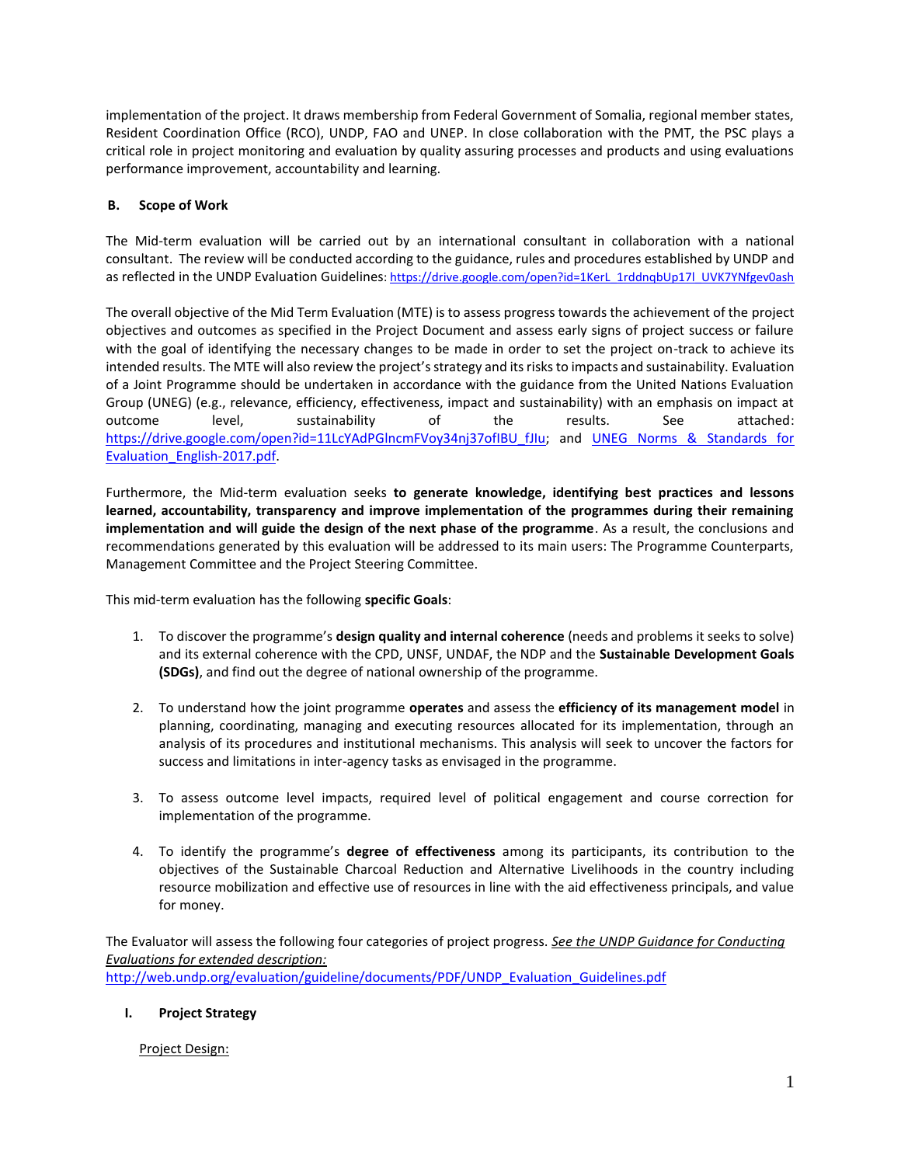implementation of the project. It draws membership from Federal Government of Somalia, regional member states, Resident Coordination Office (RCO), UNDP, FAO and UNEP. In close collaboration with the PMT, the PSC plays a critical role in project monitoring and evaluation by quality assuring processes and products and using evaluations performance improvement, accountability and learning.

## **B. Scope of Work**

The Mid-term evaluation will be carried out by an international consultant in collaboration with a national consultant. The review will be conducted according to the guidance, rules and procedures established by UNDP and as reflected in the UNDP Evaluation Guidelines[: https://drive.google.com/open?id=1KerL\\_1rddnqbUp17l\\_UVK7YNfgev0ash](https://drive.google.com/open?id=1KerL_1rddnqbUp17l_UVK7YNfgev0ash)

The overall objective of the Mid Term Evaluation (MTE) is to assess progress towards the achievement of the project objectives and outcomes as specified in the Project Document and assess early signs of project success or failure with the goal of identifying the necessary changes to be made in order to set the project on-track to achieve its intended results. The MTE will also review the project's strategy and its risks to impacts and sustainability. Evaluation of a Joint Programme should be undertaken in accordance with the guidance from the United Nations Evaluation Group (UNEG) (e.g., relevance, efficiency, effectiveness, impact and sustainability) with an emphasis on impact at outcome level, sustainability of the results. See attached: [https://drive.google.com/open?id=11LcYAdPGlncmFVoy34nj37ofIBU\\_fJIu;](https://drive.google.com/open?id=11LcYAdPGlncmFVoy34nj37ofIBU_fJIu) and UNEG Norms & Standards for [Evaluation\\_English-2017.pdf.](file:///C:/Users/Salah.dahir/Desktop/MTR%20TORs/UNEG%20Norms%20&%20Standards%20for%20Evaluation_English-2017.pdf)

Furthermore, the Mid-term evaluation seeks **to generate knowledge, identifying best practices and lessons learned, accountability, transparency and improve implementation of the programmes during their remaining implementation and will guide the design of the next phase of the programme**. As a result, the conclusions and recommendations generated by this evaluation will be addressed to its main users: The Programme Counterparts, Management Committee and the Project Steering Committee.

This mid-term evaluation has the following **specific Goals**:

- 1. To discover the programme's **design quality and internal coherence** (needs and problems it seeks to solve) and its external coherence with the CPD, UNSF, UNDAF, the NDP and the **Sustainable Development Goals (SDGs)**, and find out the degree of national ownership of the programme.
- 2. To understand how the joint programme **operates** and assess the **efficiency of its management model** in planning, coordinating, managing and executing resources allocated for its implementation, through an analysis of its procedures and institutional mechanisms. This analysis will seek to uncover the factors for success and limitations in inter-agency tasks as envisaged in the programme.
- 3. To assess outcome level impacts, required level of political engagement and course correction for implementation of the programme.
- 4. To identify the programme's **degree of effectiveness** among its participants, its contribution to the objectives of the Sustainable Charcoal Reduction and Alternative Livelihoods in the country including resource mobilization and effective use of resources in line with the aid effectiveness principals, and value for money.

The Evaluator will assess the following four categories of project progress. *See the UNDP Guidance for Conducting Evaluations for extended description:* [http://web.undp.org/evaluation/guideline/documents/PDF/UNDP\\_Evaluation\\_Guidelines.pdf](http://web.undp.org/evaluation/guideline/documents/PDF/UNDP_Evaluation_Guidelines.pdf)

## **I. Project Strategy**

## Project Design: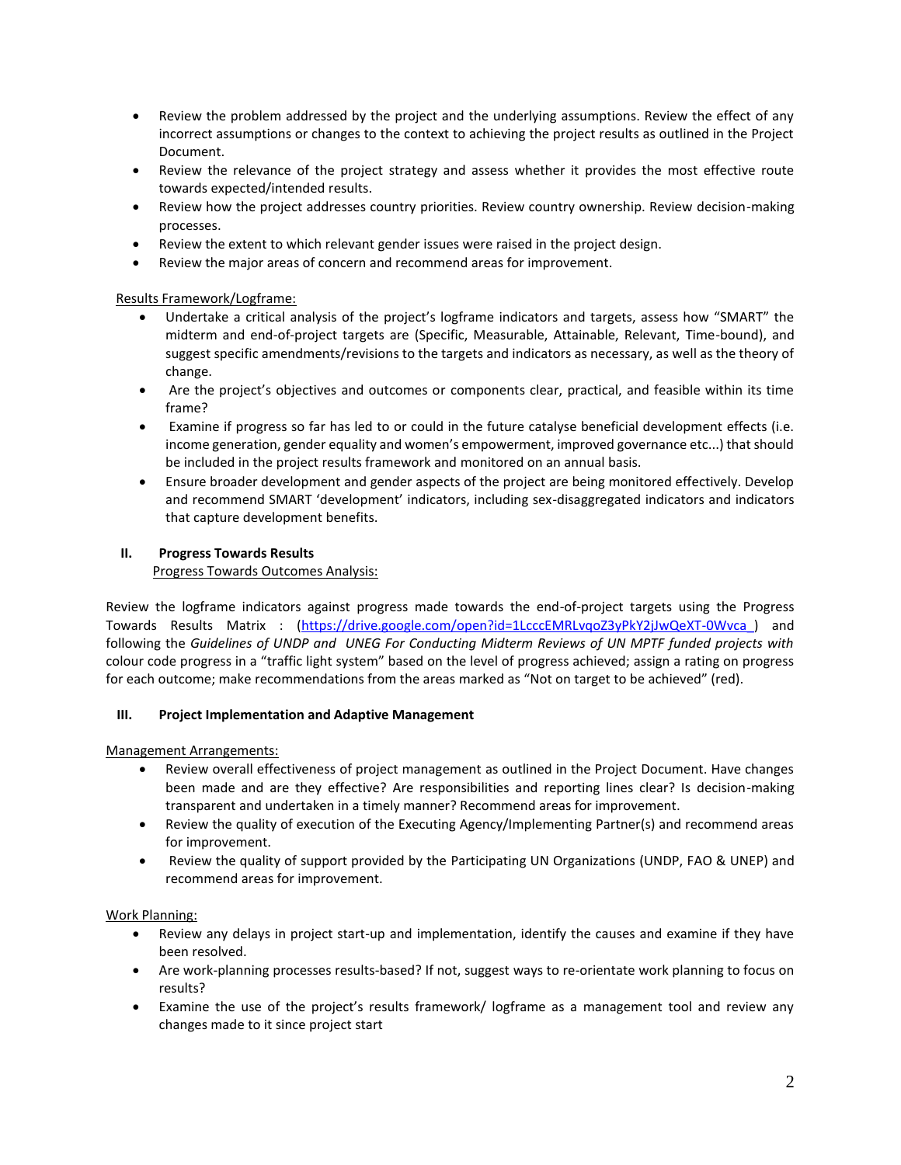- Review the problem addressed by the project and the underlying assumptions. Review the effect of any incorrect assumptions or changes to the context to achieving the project results as outlined in the Project Document.
- Review the relevance of the project strategy and assess whether it provides the most effective route towards expected/intended results.
- Review how the project addresses country priorities. Review country ownership. Review decision-making processes.
- Review the extent to which relevant gender issues were raised in the project design.
- Review the major areas of concern and recommend areas for improvement.

## Results Framework/Logframe:

- Undertake a critical analysis of the project's logframe indicators and targets, assess how "SMART" the midterm and end-of-project targets are (Specific, Measurable, Attainable, Relevant, Time-bound), and suggest specific amendments/revisions to the targets and indicators as necessary, as well as the theory of change.
- Are the project's objectives and outcomes or components clear, practical, and feasible within its time frame?
- Examine if progress so far has led to or could in the future catalyse beneficial development effects (i.e. income generation, gender equality and women's empowerment, improved governance etc...) that should be included in the project results framework and monitored on an annual basis.
- Ensure broader development and gender aspects of the project are being monitored effectively. Develop and recommend SMART 'development' indicators, including sex-disaggregated indicators and indicators that capture development benefits.

## **II. Progress Towards Results**

Progress Towards Outcomes Analysis:

Review the logframe indicators against progress made towards the end-of-project targets using the Progress Towards Results Matrix : [\(https://drive.google.com/open?id=1LcccEMRLvqoZ3yPkY2jJwQeXT-0Wvca\\_\)](https://drive.google.com/open?id=1LcccEMRLvqoZ3yPkY2jJwQeXT-0Wvca_) and following the *Guidelines of UNDP and UNEG For Conducting Midterm Reviews of UN MPTF funded projects with* colour code progress in a "traffic light system" based on the level of progress achieved; assign a rating on progress for each outcome; make recommendations from the areas marked as "Not on target to be achieved" (red).

## **III. Project Implementation and Adaptive Management**

Management Arrangements:

- Review overall effectiveness of project management as outlined in the Project Document. Have changes been made and are they effective? Are responsibilities and reporting lines clear? Is decision-making transparent and undertaken in a timely manner? Recommend areas for improvement.
- Review the quality of execution of the Executing Agency/Implementing Partner(s) and recommend areas for improvement.
- Review the quality of support provided by the Participating UN Organizations (UNDP, FAO & UNEP) and recommend areas for improvement.

## Work Planning:

- Review any delays in project start-up and implementation, identify the causes and examine if they have been resolved.
- Are work-planning processes results-based? If not, suggest ways to re-orientate work planning to focus on results?
- Examine the use of the project's results framework/ logframe as a management tool and review any changes made to it since project start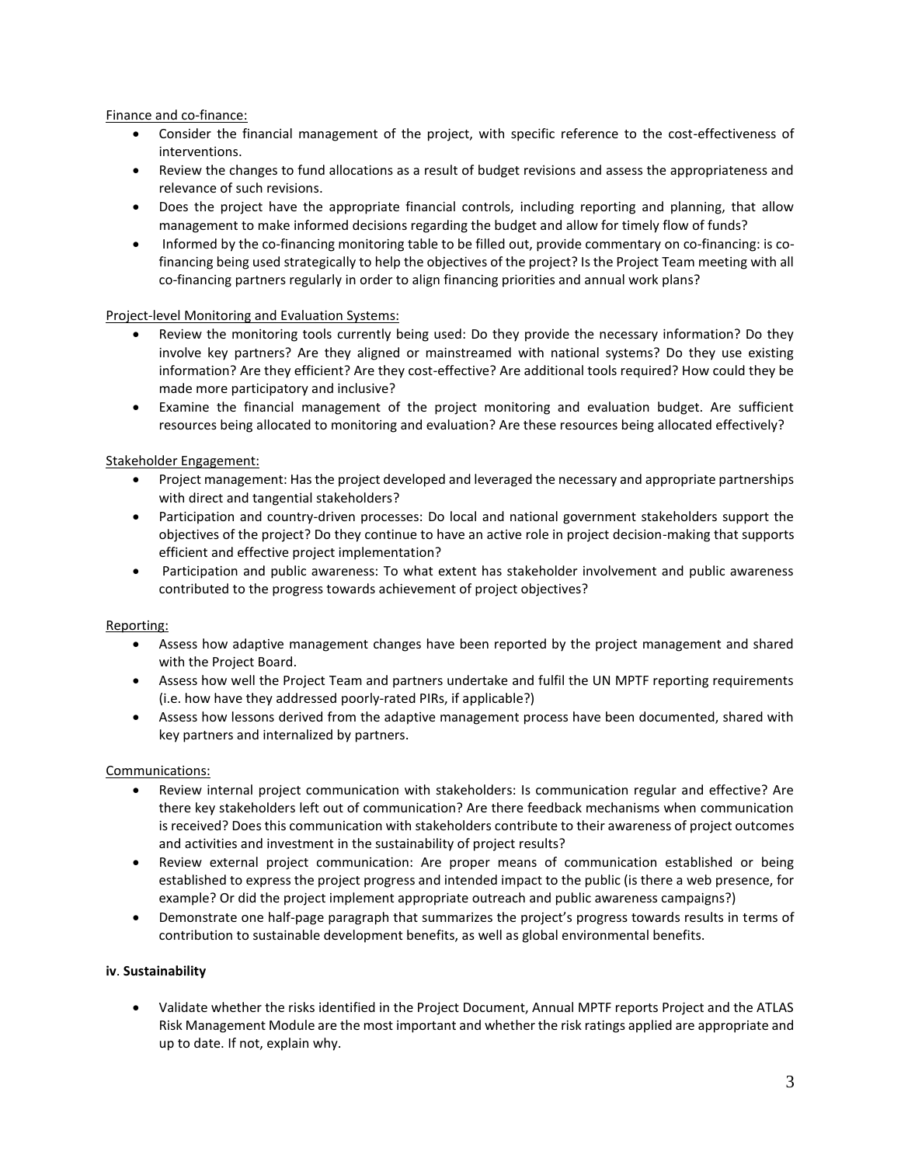Finance and co-finance:

- Consider the financial management of the project, with specific reference to the cost-effectiveness of interventions.
- Review the changes to fund allocations as a result of budget revisions and assess the appropriateness and relevance of such revisions.
- Does the project have the appropriate financial controls, including reporting and planning, that allow management to make informed decisions regarding the budget and allow for timely flow of funds?
- Informed by the co-financing monitoring table to be filled out, provide commentary on co-financing: is cofinancing being used strategically to help the objectives of the project? Is the Project Team meeting with all co-financing partners regularly in order to align financing priorities and annual work plans?

## Project-level Monitoring and Evaluation Systems:

- Review the monitoring tools currently being used: Do they provide the necessary information? Do they involve key partners? Are they aligned or mainstreamed with national systems? Do they use existing information? Are they efficient? Are they cost-effective? Are additional tools required? How could they be made more participatory and inclusive?
- Examine the financial management of the project monitoring and evaluation budget. Are sufficient resources being allocated to monitoring and evaluation? Are these resources being allocated effectively?

## Stakeholder Engagement:

- Project management: Has the project developed and leveraged the necessary and appropriate partnerships with direct and tangential stakeholders?
- Participation and country-driven processes: Do local and national government stakeholders support the objectives of the project? Do they continue to have an active role in project decision-making that supports efficient and effective project implementation?
- Participation and public awareness: To what extent has stakeholder involvement and public awareness contributed to the progress towards achievement of project objectives?

## Reporting:

- Assess how adaptive management changes have been reported by the project management and shared with the Project Board.
- Assess how well the Project Team and partners undertake and fulfil the UN MPTF reporting requirements (i.e. how have they addressed poorly-rated PIRs, if applicable?)
- Assess how lessons derived from the adaptive management process have been documented, shared with key partners and internalized by partners.

## Communications:

- Review internal project communication with stakeholders: Is communication regular and effective? Are there key stakeholders left out of communication? Are there feedback mechanisms when communication is received? Does this communication with stakeholders contribute to their awareness of project outcomes and activities and investment in the sustainability of project results?
- Review external project communication: Are proper means of communication established or being established to express the project progress and intended impact to the public (is there a web presence, for example? Or did the project implement appropriate outreach and public awareness campaigns?)
- Demonstrate one half-page paragraph that summarizes the project's progress towards results in terms of contribution to sustainable development benefits, as well as global environmental benefits.

## **iv**. **Sustainability**

• Validate whether the risks identified in the Project Document, Annual MPTF reports Project and the ATLAS Risk Management Module are the most important and whether the risk ratings applied are appropriate and up to date. If not, explain why.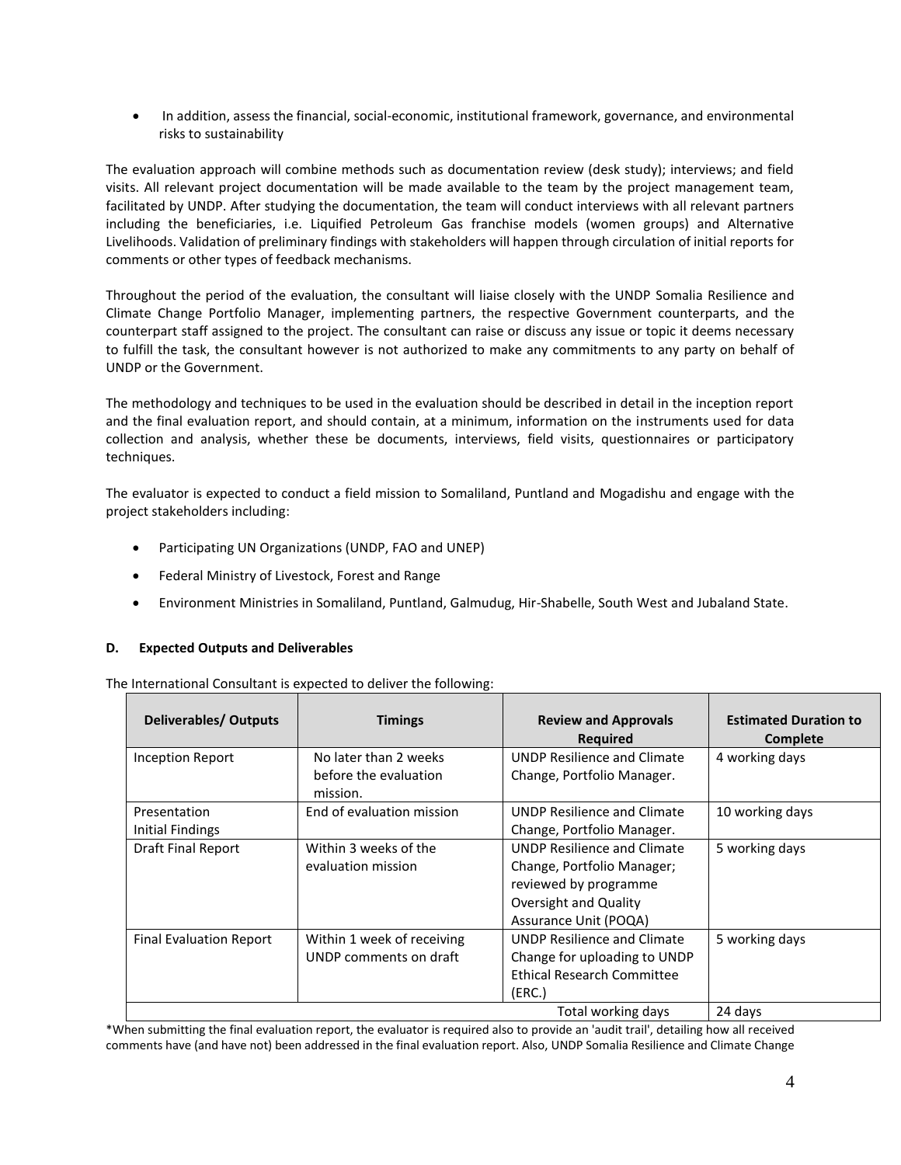• In addition, assess the financial, social-economic, institutional framework, governance, and environmental risks to sustainability

The evaluation approach will combine methods such as documentation review (desk study); interviews; and field visits. All relevant project documentation will be made available to the team by the project management team, facilitated by UNDP. After studying the documentation, the team will conduct interviews with all relevant partners including the beneficiaries, i.e. Liquified Petroleum Gas franchise models (women groups) and Alternative Livelihoods. Validation of preliminary findings with stakeholders will happen through circulation of initial reports for comments or other types of feedback mechanisms.

Throughout the period of the evaluation, the consultant will liaise closely with the UNDP Somalia Resilience and Climate Change Portfolio Manager, implementing partners, the respective Government counterparts, and the counterpart staff assigned to the project. The consultant can raise or discuss any issue or topic it deems necessary to fulfill the task, the consultant however is not authorized to make any commitments to any party on behalf of UNDP or the Government.

The methodology and techniques to be used in the evaluation should be described in detail in the inception report and the final evaluation report, and should contain, at a minimum, information on the instruments used for data collection and analysis, whether these be documents, interviews, field visits, questionnaires or participatory techniques.

The evaluator is expected to conduct a field mission to Somaliland, Puntland and Mogadishu and engage with the project stakeholders including:

- Participating UN Organizations (UNDP, FAO and UNEP)
- Federal Ministry of Livestock, Forest and Range
- Environment Ministries in Somaliland, Puntland, Galmudug, Hir-Shabelle, South West and Jubaland State.

## **D. Expected Outputs and Deliverables**

The International Consultant is expected to deliver the following:

| <b>Deliverables/ Outputs</b>     | <b>Timings</b>                                             | <b>Review and Approvals</b><br><b>Required</b>                                                                                              | <b>Estimated Duration to</b><br>Complete |
|----------------------------------|------------------------------------------------------------|---------------------------------------------------------------------------------------------------------------------------------------------|------------------------------------------|
| Inception Report                 | No later than 2 weeks<br>before the evaluation<br>mission. | <b>UNDP Resilience and Climate</b><br>Change, Portfolio Manager.                                                                            | 4 working days                           |
| Presentation<br>Initial Findings | End of evaluation mission                                  | UNDP Resilience and Climate<br>Change, Portfolio Manager.                                                                                   | 10 working days                          |
| Draft Final Report               | Within 3 weeks of the<br>evaluation mission                | <b>UNDP Resilience and Climate</b><br>Change, Portfolio Manager;<br>reviewed by programme<br>Oversight and Quality<br>Assurance Unit (POQA) | 5 working days                           |
| <b>Final Evaluation Report</b>   | Within 1 week of receiving<br>UNDP comments on draft       | <b>UNDP Resilience and Climate</b><br>Change for uploading to UNDP<br><b>Ethical Research Committee</b><br>(ERC.)                           | 5 working days                           |
|                                  |                                                            | Total working days                                                                                                                          | 24 days                                  |

\*When submitting the final evaluation report, the evaluator is required also to provide an 'audit trail', detailing how all received comments have (and have not) been addressed in the final evaluation report. Also, UNDP Somalia Resilience and Climate Change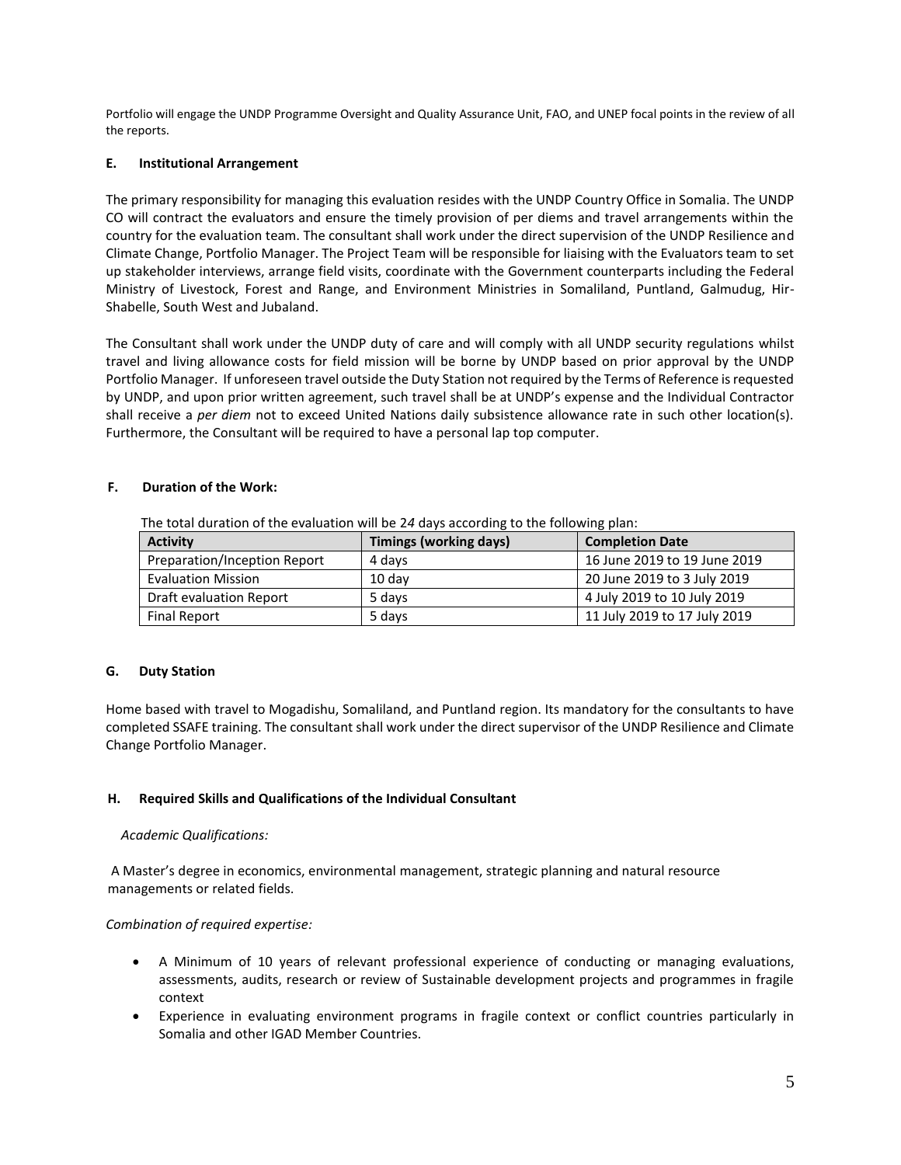Portfolio will engage the UNDP Programme Oversight and Quality Assurance Unit, FAO, and UNEP focal points in the review of all the reports.

## **E. Institutional Arrangement**

The primary responsibility for managing this evaluation resides with the UNDP Country Office in Somalia. The UNDP CO will contract the evaluators and ensure the timely provision of per diems and travel arrangements within the country for the evaluation team. The consultant shall work under the direct supervision of the UNDP Resilience and Climate Change, Portfolio Manager. The Project Team will be responsible for liaising with the Evaluators team to set up stakeholder interviews, arrange field visits, coordinate with the Government counterparts including the Federal Ministry of Livestock, Forest and Range, and Environment Ministries in Somaliland, Puntland, Galmudug, Hir-Shabelle, South West and Jubaland.

The Consultant shall work under the UNDP duty of care and will comply with all UNDP security regulations whilst travel and living allowance costs for field mission will be borne by UNDP based on prior approval by the UNDP Portfolio Manager. If unforeseen travel outside the Duty Station not required by the Terms of Reference is requested by UNDP, and upon prior written agreement, such travel shall be at UNDP's expense and the Individual Contractor shall receive a *per diem* not to exceed United Nations daily subsistence allowance rate in such other location(s). Furthermore, the Consultant will be required to have a personal lap top computer.

## **F. Duration of the Work:**

| <b>Activity</b>              | Timings (working days) | <b>Completion Date</b>       |  |  |  |
|------------------------------|------------------------|------------------------------|--|--|--|
| Preparation/Inception Report | 4 davs                 | 16 June 2019 to 19 June 2019 |  |  |  |
| <b>Evaluation Mission</b>    | $10$ dav               | 20 June 2019 to 3 July 2019  |  |  |  |
| Draft evaluation Report      | 5 days                 | 4 July 2019 to 10 July 2019  |  |  |  |
| <b>Final Report</b>          | 5 davs                 | 11 July 2019 to 17 July 2019 |  |  |  |

The total duration of the evaluation will be 2*4* days according to the following plan:

## **G. Duty Station**

Home based with travel to Mogadishu, Somaliland, and Puntland region. Its mandatory for the consultants to have completed SSAFE training. The consultant shall work under the direct supervisor of the UNDP Resilience and Climate Change Portfolio Manager.

## **H. Required Skills and Qualifications of the Individual Consultant**

## *Academic Qualifications:*

A Master's degree in economics, environmental management, strategic planning and natural resource managements or related fields.

## *Combination of required expertise:*

- A Minimum of 10 years of relevant professional experience of conducting or managing evaluations, assessments, audits, research or review of Sustainable development projects and programmes in fragile context
- Experience in evaluating environment programs in fragile context or conflict countries particularly in Somalia and other IGAD Member Countries.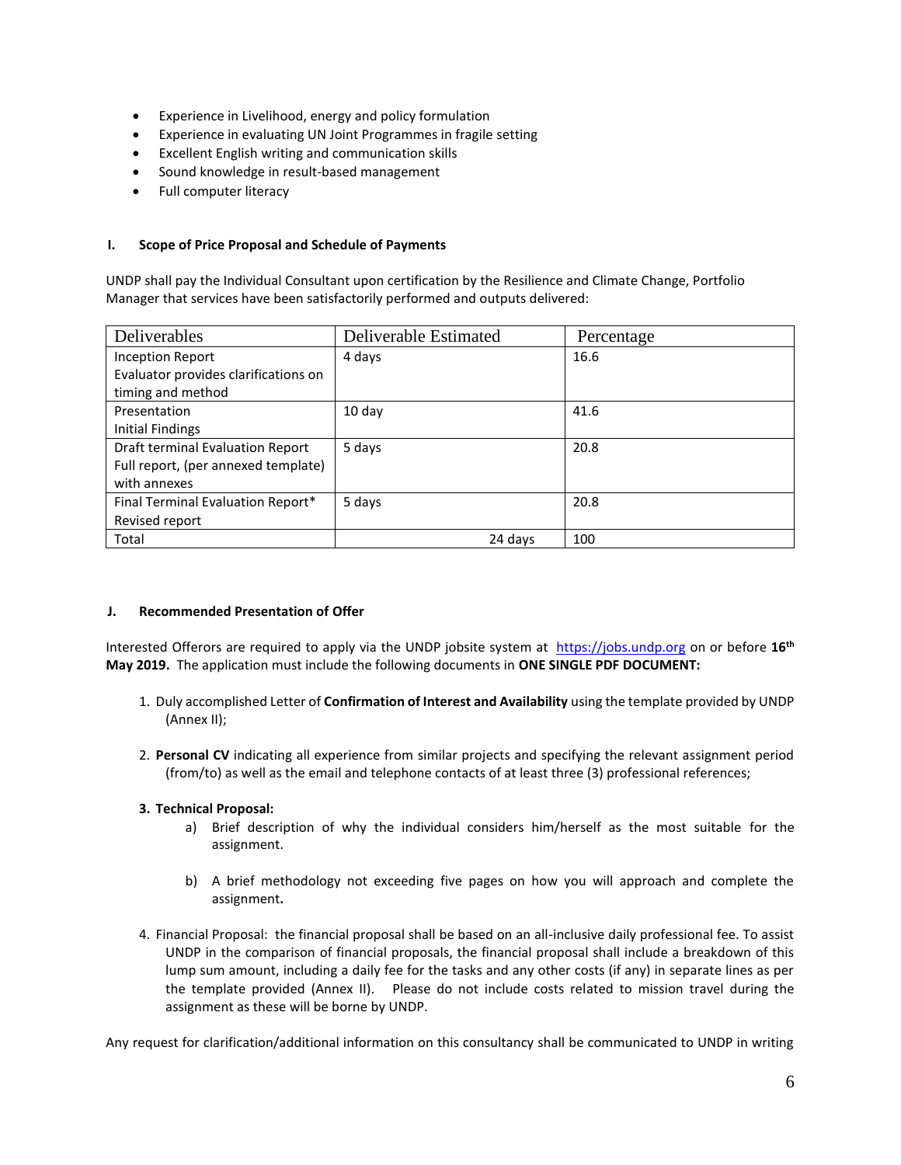- Experience in Livelihood, energy and policy formulation
- Experience in evaluating UN Joint Programmes in fragile setting
- Excellent English writing and communication skills
- Sound knowledge in result-based management
- Full computer literacy

#### **I. Scope of Price Proposal and Schedule of Payments**

UNDP shall pay the Individual Consultant upon certification by the Resilience and Climate Change, Portfolio Manager that services have been satisfactorily performed and outputs delivered:

| Deliverables                         | Deliverable Estimated | Percentage |
|--------------------------------------|-----------------------|------------|
| <b>Inception Report</b>              | 4 days                | 16.6       |
| Evaluator provides clarifications on |                       |            |
| timing and method                    |                       |            |
| Presentation                         | 10 day                | 41.6       |
| Initial Findings                     |                       |            |
| Draft terminal Evaluation Report     | 5 days                | 20.8       |
| Full report, (per annexed template)  |                       |            |
| with annexes                         |                       |            |
| Final Terminal Evaluation Report*    | 5 days                | 20.8       |
| Revised report                       |                       |            |
| Total                                | 24 days               | 100        |

#### **J. Recommended Presentation of Offer**

Interested Offerors are required to apply via the UNDP jobsite system at [https://jobs.undp.org](https://jobs.undp.org/) on or before **16th May 2019.** The application must include the following documents in **ONE SINGLE PDF DOCUMENT:**

- 1. Duly accomplished Letter of **Confirmation of Interest and Availability** using the template provided by UNDP (Annex II);
- 2. **Personal CV** indicating all experience from similar projects and specifying the relevant assignment period (from/to) as well as the email and telephone contacts of at least three (3) professional references;

## **3. Technical Proposal:**

- a) Brief description of why the individual considers him/herself as the most suitable for the assignment.
- b) A brief methodology not exceeding five pages on how you will approach and complete the assignment**.**
- 4. Financial Proposal: the financial proposal shall be based on an all-inclusive daily professional fee. To assist UNDP in the comparison of financial proposals, the financial proposal shall include a breakdown of this lump sum amount, including a daily fee for the tasks and any other costs (if any) in separate lines as per the template provided (Annex II). Please do not include costs related to mission travel during the assignment as these will be borne by UNDP.

Any request for clarification/additional information on this consultancy shall be communicated to UNDP in writing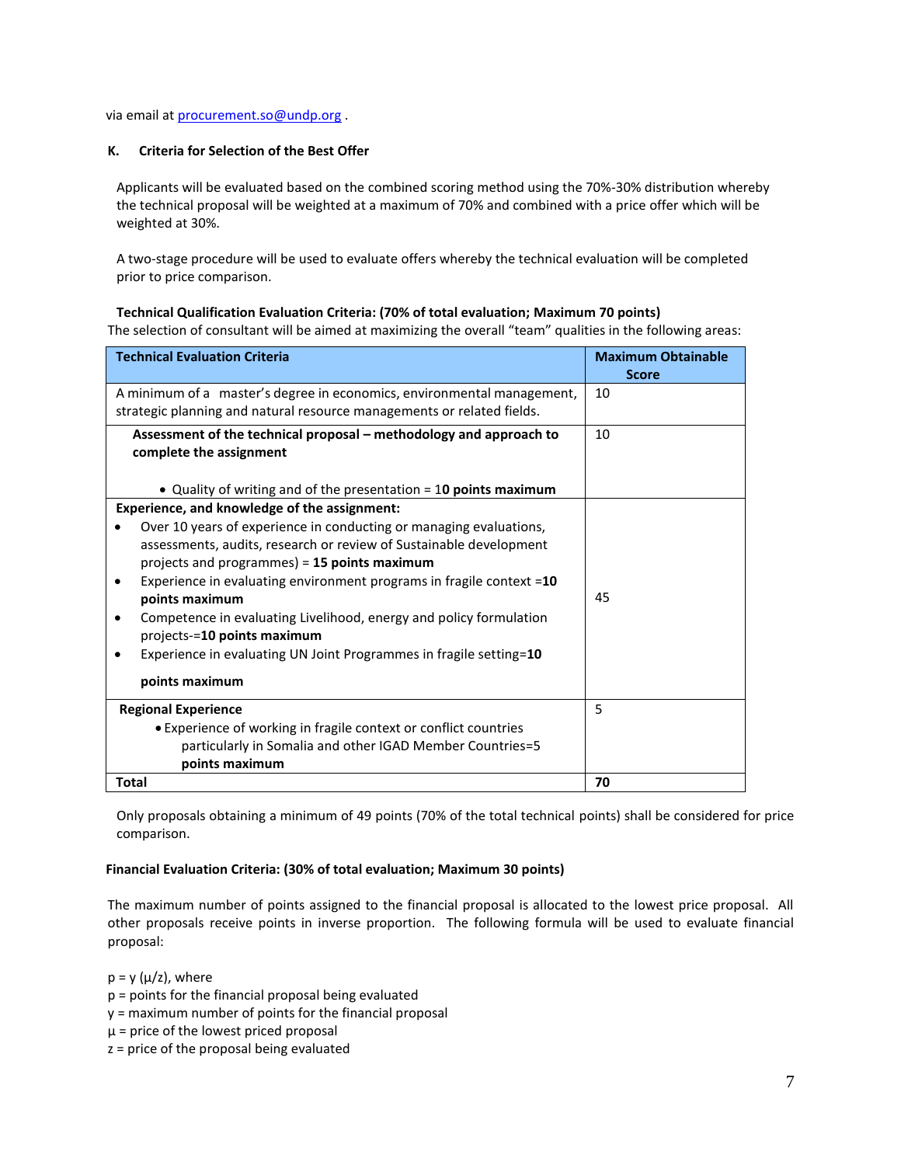via email at [procurement.so@undp.org](mailto:procurement.so@undp.org) .

## **K. Criteria for Selection of the Best Offer**

Applicants will be evaluated based on the combined scoring method using the 70%-30% distribution whereby the technical proposal will be weighted at a maximum of 70% and combined with a price offer which will be weighted at 30%.

A two-stage procedure will be used to evaluate offers whereby the technical evaluation will be completed prior to price comparison.

## **Technical Qualification Evaluation Criteria: (70% of total evaluation; Maximum 70 points)**

The selection of consultant will be aimed at maximizing the overall "team" qualities in the following areas:

| <b>Technical Evaluation Criteria</b>                                                                                                             | <b>Maximum Obtainable</b><br><b>Score</b> |
|--------------------------------------------------------------------------------------------------------------------------------------------------|-------------------------------------------|
| A minimum of a master's degree in economics, environmental management,<br>strategic planning and natural resource managements or related fields. | 10                                        |
| Assessment of the technical proposal - methodology and approach to<br>complete the assignment                                                    | 10                                        |
| • Quality of writing and of the presentation $=$ 10 points maximum                                                                               |                                           |
| Experience, and knowledge of the assignment:                                                                                                     |                                           |
| Over 10 years of experience in conducting or managing evaluations,                                                                               |                                           |
| assessments, audits, research or review of Sustainable development                                                                               |                                           |
| projects and programmes) = 15 points maximum                                                                                                     |                                           |
| Experience in evaluating environment programs in fragile context =10<br>٠                                                                        |                                           |
| points maximum                                                                                                                                   | 45                                        |
| Competence in evaluating Livelihood, energy and policy formulation<br>٠<br>projects-=10 points maximum                                           |                                           |
| Experience in evaluating UN Joint Programmes in fragile setting=10                                                                               |                                           |
| points maximum                                                                                                                                   |                                           |
| <b>Regional Experience</b>                                                                                                                       | 5                                         |
| • Experience of working in fragile context or conflict countries                                                                                 |                                           |
| particularly in Somalia and other IGAD Member Countries=5                                                                                        |                                           |
| points maximum                                                                                                                                   |                                           |
| <b>Total</b>                                                                                                                                     | 70                                        |

Only proposals obtaining a minimum of 49 points (70% of the total technical points) shall be considered for price comparison.

## **Financial Evaluation Criteria: (30% of total evaluation; Maximum 30 points)**

The maximum number of points assigned to the financial proposal is allocated to the lowest price proposal. All other proposals receive points in inverse proportion. The following formula will be used to evaluate financial proposal:

 $p = y (\mu/z)$ , where

- p = points for the financial proposal being evaluated
- y = maximum number of points for the financial proposal
- $\mu$  = price of the lowest priced proposal
- z = price of the proposal being evaluated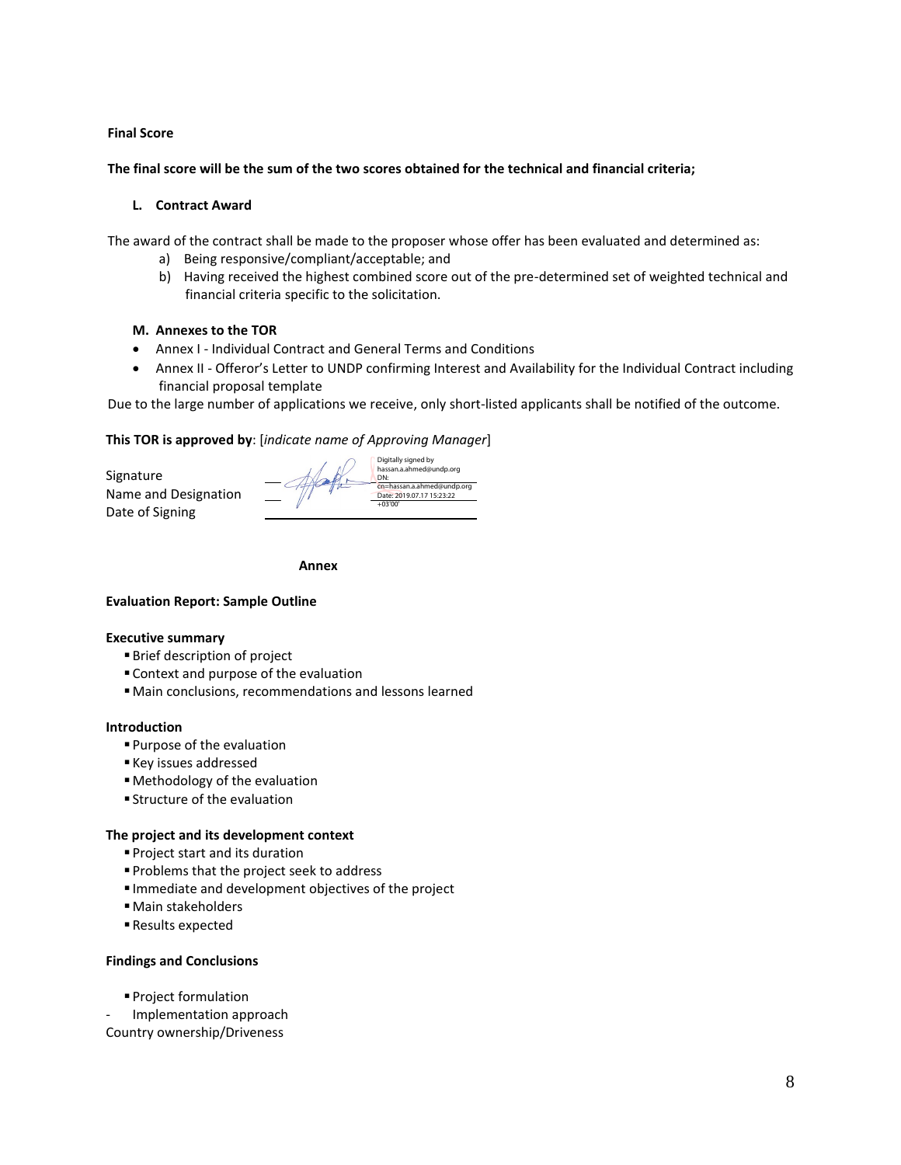### **Final Score**

**The final score will be the sum of the two scores obtained for the technical and financial criteria;**

### **L. Contract Award**

The award of the contract shall be made to the proposer whose offer has been evaluated and determined as:

- a) Being responsive/compliant/acceptable; and
- b) Having received the highest combined score out of the pre-determined set of weighted technical and financial criteria specific to the solicitation.

### **M. Annexes to the TOR**

- Annex I Individual Contract and General Terms and Conditions
- Annex II Offeror's Letter to UNDP confirming Interest and Availability for the Individual Contract including financial proposal template

Due to the large number of applications we receive, only short-listed applicants shall be notified of the outcome.

### **This TOR is approved by**: [*indicate name of Approving Manager*]

Signature Name and Designation Date of Signing



 **Annex** 

## **Evaluation Report: Sample Outline**

#### **Executive summary**

- Brief description of project
- Context and purpose of the evaluation
- ▪Main conclusions, recommendations and lessons learned

#### **Introduction**

- Purpose of the evaluation
- Key issues addressed
- Methodology of the evaluation
- **Exercise Structure of the evaluation**

#### **The project and its development context**

- Project start and its duration
- **Problems that the project seek to address**
- Immediate and development objectives of the project
- Main stakeholders
- Results expected

#### **Findings and Conclusions**

▪ Project formulation - Implementation approach

Country ownership/Driveness